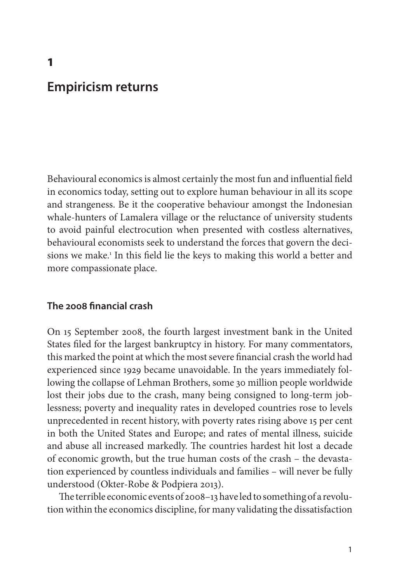# **Empiricism returns**

Behavioural economics is almost certainly the most fun and influential field in economics today, setting out to explore human behaviour in all its scope and strangeness. Be it the cooperative behaviour amongst the Indonesian whale-hunters of Lamalera village or the reluctance of university students to avoid painful electrocution when presented with costless alternatives, behavioural economists seek to understand the forces that govern the decisions we make.1 In this field lie the keys to making this world a better and more compassionate place.

### **The 2008 financial crash**

On 15 September 2008, the fourth largest investment bank in the United States filed for the largest bankruptcy in history. For many commentators, this marked the point at which the most severe financial crash the world had experienced since 1929 became unavoidable. In the years immediately following the collapse of Lehman Brothers, some 30 million people worldwide lost their jobs due to the crash, many being consigned to long-term joblessness; poverty and inequality rates in developed countries rose to levels unprecedented in recent history, with poverty rates rising above 15 per cent in both the United States and Europe; and rates of mental illness, suicide and abuse all increased markedly. The countries hardest hit lost a decade of economic growth, but the true human costs of the crash – the devastation experienced by countless individuals and families – will never be fully understood (Okter-Robe & Podpiera 2013).

The terrible economic events of 2008–13 have led to something of a revolution within the economics discipline, for many validating the dissatisfaction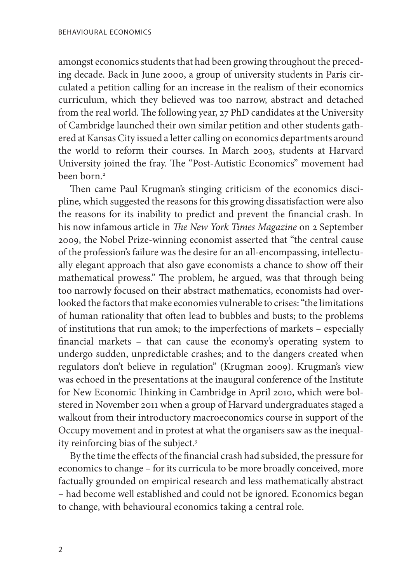amongst economics students that had been growing throughout the preceding decade. Back in June 2000, a group of university students in Paris circulated a petition calling for an increase in the realism of their economics curriculum, which they believed was too narrow, abstract and detached from the real world. The following year, 27 PhD candidates at the University of Cambridge launched their own similar petition and other students gathered at Kansas City issued a letter calling on economics departments around the world to reform their courses. In March 2003, students at Harvard University joined the fray. The "Post-Autistic Economics" movement had been born.2

Then came Paul Krugman's stinging criticism of the economics discipline, which suggested the reasons for this growing dissatisfaction were also the reasons for its inability to predict and prevent the financial crash. In his now infamous article in *The New York Times Magazine* on 2 September 2009, the Nobel Prize-winning economist asserted that "the central cause of the profession's failure was the desire for an all-encompassing, intellectually elegant approach that also gave economists a chance to show off their mathematical prowess." The problem, he argued, was that through being too narrowly focused on their abstract mathematics, economists had overlooked the factors that make economies vulnerable to crises: "the limitations of human rationality that often lead to bubbles and busts; to the problems of institutions that run amok; to the imperfections of markets – especially financial markets – that can cause the economy's operating system to undergo sudden, unpredictable crashes; and to the dangers created when regulators don't believe in regulation" (Krugman 2009). Krugman's view was echoed in the presentations at the inaugural conference of the Institute for New Economic Thinking in Cambridge in April 2010, which were bolstered in November 2011 when a group of Harvard undergraduates staged a walkout from their introductory macroeconomics course in support of the Occupy movement and in protest at what the organisers saw as the inequality reinforcing bias of the subject.3

By the time the effects of the financial crash had subsided, the pressure for economics to change – for its curricula to be more broadly conceived, more factually grounded on empirical research and less mathematically abstract – had become well established and could not be ignored. Economics began to change, with behavioural economics taking a central role.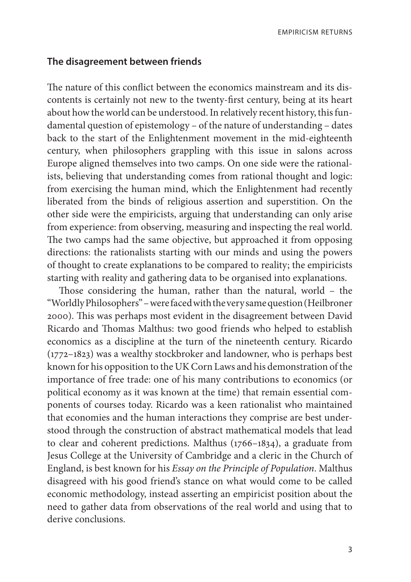#### **The disagreement between friends**

The nature of this conflict between the economics mainstream and its discontents is certainly not new to the twenty-first century, being at its heart about how the world can be understood. In relatively recent history, this fundamental question of epistemology – of the nature of understanding – dates back to the start of the Enlightenment movement in the mid-eighteenth century, when philosophers grappling with this issue in salons across Europe aligned themselves into two camps. On one side were the rationalists, believing that understanding comes from rational thought and logic: from exercising the human mind, which the Enlightenment had recently liberated from the binds of religious assertion and superstition. On the other side were the empiricists, arguing that understanding can only arise from experience: from observing, measuring and inspecting the real world. The two camps had the same objective, but approached it from opposing directions: the rationalists starting with our minds and using the powers of thought to create explanations to be compared to reality; the empiricists starting with reality and gathering data to be organised into explanations.

Those considering the human, rather than the natural, world – the "Worldly Philosophers" – were faced with the very same question (Heilbroner 2000). This was perhaps most evident in the disagreement between David Ricardo and Thomas Malthus: two good friends who helped to establish economics as a discipline at the turn of the nineteenth century. Ricardo (1772–1823) was a wealthy stockbroker and landowner, who is perhaps best known for his opposition to the UK Corn Laws and his demonstration of the importance of free trade: one of his many contributions to economics (or political economy as it was known at the time) that remain essential components of courses today. Ricardo was a keen rationalist who maintained that economies and the human interactions they comprise are best understood through the construction of abstract mathematical models that lead to clear and coherent predictions. Malthus (1766–1834), a graduate from Jesus College at the University of Cambridge and a cleric in the Church of England, is best known for his *Essay on the Principle of Population*. Malthus disagreed with his good friend's stance on what would come to be called economic methodology, instead asserting an empiricist position about the need to gather data from observations of the real world and using that to derive conclusions.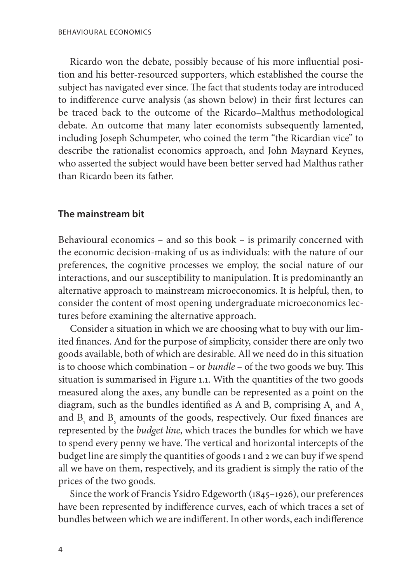Ricardo won the debate, possibly because of his more influential position and his better-resourced supporters, which established the course the subject has navigated ever since. The fact that students today are introduced to indifference curve analysis (as shown below) in their first lectures can be traced back to the outcome of the Ricardo–Malthus methodological debate. An outcome that many later economists subsequently lamented, including Joseph Schumpeter, who coined the term "the Ricardian vice" to describe the rationalist economics approach, and John Maynard Keynes, who asserted the subject would have been better served had Malthus rather than Ricardo been its father.

#### **The mainstream bit**

Behavioural economics – and so this book – is primarily concerned with the economic decision-making of us as individuals: with the nature of our preferences, the cognitive processes we employ, the social nature of our interactions, and our susceptibility to manipulation. It is predominantly an alternative approach to mainstream microeconomics. It is helpful, then, to consider the content of most opening undergraduate microeconomics lectures before examining the alternative approach.

Consider a situation in which we are choosing what to buy with our limited finances. And for the purpose of simplicity, consider there are only two goods available, both of which are desirable. All we need do in this situation is to choose which combination – or *bundle* – of the two goods we buy. This situation is summarised in Figure 1.1. With the quantities of the two goods measured along the axes, any bundle can be represented as a point on the diagram, such as the bundles identified as A and B, comprising  $A_1$  and  $A_2$ and  $B_1$  and  $B_2$  amounts of the goods, respectively. Our fixed finances are represented by the *budget line*, which traces the bundles for which we have to spend every penny we have. The vertical and horizontal intercepts of the budget line are simply the quantities of goods 1 and 2 we can buy if we spend all we have on them, respectively, and its gradient is simply the ratio of the prices of the two goods.

Since the work of Francis Ysidro Edgeworth (1845–1926), our preferences have been represented by indifference curves, each of which traces a set of bundles between which we are indifferent. In other words, each indifference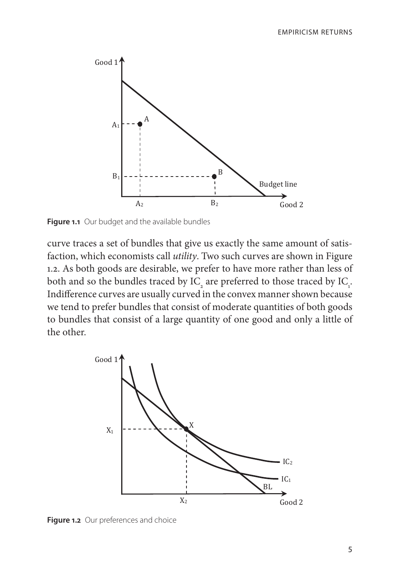

**Figure 1.1** Our budget and the available bundles

curve traces a set of bundles that give us exactly the same amount of satisfaction, which economists call *utility*. Two such curves are shown in Figure 1.2. As both goods are desirable, we prefer to have more rather than less of both and so the bundles traced by  $IC_2$  are preferred to those traced by  $IC_1$ . Indifference curves are usually curved in the convex manner shown because we tend to prefer bundles that consist of moderate quantities of both goods to bundles that consist of a large quantity of one good and only a little of the other. ds are desirable, we prefer t



**Figure 1.2** Our preferences and choice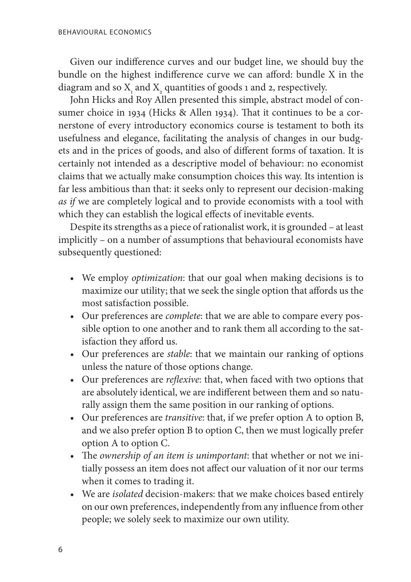Given our indifference curves and our budget line, we should buy the bundle on the highest indifference curve we can afford: bundle X in the diagram and so  $X_i$  and  $X_j$  quantities of goods 1 and 2, respectively.

John Hicks and Roy Allen presented this simple, abstract model of consumer choice in 1934 (Hicks & Allen 1934). That it continues to be a cornerstone of every introductory economics course is testament to both its usefulness and elegance, facilitating the analysis of changes in our budgets and in the prices of goods, and also of different forms of taxation. It is certainly not intended as a descriptive model of behaviour: no economist claims that we actually make consumption choices this way. Its intention is far less ambitious than that: it seeks only to represent our decision-making *as if* we are completely logical and to provide economists with a tool with which they can establish the logical effects of inevitable events.

Despite its strengths as a piece of rationalist work, it is grounded – at least implicitly – on a number of assumptions that behavioural economists have subsequently questioned:

- • We employ *optimization*: that our goal when making decisions is to maximize our utility; that we seek the single option that affords us the most satisfaction possible.
- • Our preferences are *complete*: that we are able to compare every possible option to one another and to rank them all according to the satisfaction they afford us.
- • Our preferences are *stable*: that we maintain our ranking of options unless the nature of those options change.
- • Our preferences are *reflexive*: that, when faced with two options that are absolutely identical, we are indifferent between them and so naturally assign them the same position in our ranking of options.
- • Our preferences are *transitive*: that, if we prefer option A to option B, and we also prefer option B to option C, then we must logically prefer option A to option C.
- • The *ownership of an item is unimportant*: that whether or not we initially possess an item does not affect our valuation of it nor our terms when it comes to trading it.
- • We are *isolated* decision-makers: that we make choices based entirely on our own preferences, independently from any influence from other people; we solely seek to maximize our own utility.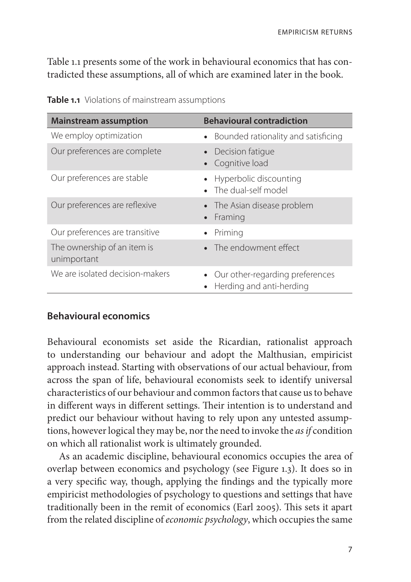Table 1.1 presents some of the work in behavioural economics that has contradicted these assumptions, all of which are examined later in the book.

| <b>Mainstream assumption</b>               | <b>Behavioural contradiction</b>                            |
|--------------------------------------------|-------------------------------------------------------------|
| We employ optimization                     | • Bounded rationality and satisficing                       |
| Our preferences are complete               | Decision fatique<br>Cognitive load                          |
| Our preferences are stable                 | Hyperbolic discounting<br>The dual-self model               |
| Our preferences are reflexive              | • The Asian disease problem<br>Framing                      |
| Our preferences are transitive             | Priming                                                     |
| The ownership of an item is<br>unimportant | • The endowment effect                                      |
| We are isolated decision-makers            | Our other-regarding preferences<br>Herding and anti-herding |

| Table 1.1 Violations of mainstream assumptions |
|------------------------------------------------|
|------------------------------------------------|

### **Behavioural economics**

Behavioural economists set aside the Ricardian, rationalist approach to understanding our behaviour and adopt the Malthusian, empiricist approach instead. Starting with observations of our actual behaviour, from across the span of life, behavioural economists seek to identify universal characteristics of our behaviour and common factors that cause us to behave in different ways in different settings. Their intention is to understand and predict our behaviour without having to rely upon any untested assumptions, however logical they may be, nor the need to invoke the *as if* condition on which all rationalist work is ultimately grounded.

As an academic discipline, behavioural economics occupies the area of overlap between economics and psychology (see Figure 1.3). It does so in a very specific way, though, applying the findings and the typically more empiricist methodologies of psychology to questions and settings that have traditionally been in the remit of economics (Earl 2005). This sets it apart from the related discipline of *economic psychology*, which occupies the same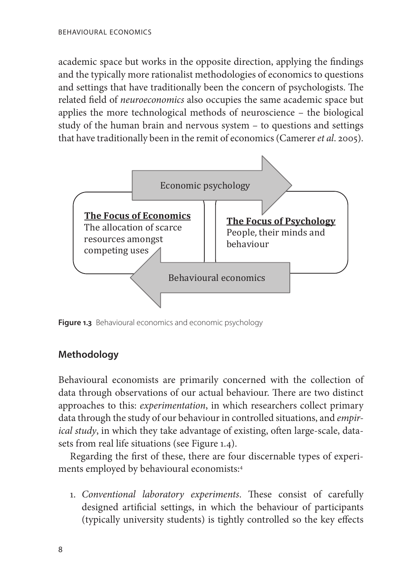academic space but works in the opposite direction, applying the findings and the typically more rationalist methodologies of economics to questions and settings that have traditionally been the concern of psychologists. The related field of *neuroeconomics* also occupies the same academic space but applies the more technological methods of neuroscience – the biological study of the human brain and nervous system – to questions and settings that have traditionally been in the remit of economics (Camerer *et al*. 2005).



**Figure 1.3** Behavioural economics and economic psychology

# **Methodology**

Behavioural economists are primarily concerned with the collection of data through observations of our actual behaviour. There are two distinct approaches to this: *experimentation*, in which researchers collect primary data through the study of our behaviour in controlled situations, and *empirical study*, in which they take advantage of existing, often large-scale, datasets from real life situations (see Figure 1.4).

Regarding the first of these, there are four discernable types of experiments employed by behavioural economists:4

1. *Conventional laboratory experiments*. These consist of carefully designed artificial settings, in which the behaviour of participants (typically university students) is tightly controlled so the key effects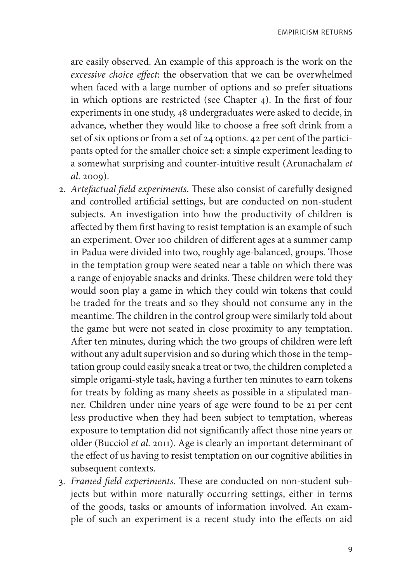are easily observed. An example of this approach is the work on the *excessive choice effect*: the observation that we can be overwhelmed when faced with a large number of options and so prefer situations in which options are restricted (see Chapter 4). In the first of four experiments in one study, 48 undergraduates were asked to decide, in advance, whether they would like to choose a free soft drink from a set of six options or from a set of 24 options. 42 per cent of the participants opted for the smaller choice set: a simple experiment leading to a somewhat surprising and counter-intuitive result (Arunachalam *et al*. 2009).

- 2. *Artefactual field experiments*. These also consist of carefully designed and controlled artificial settings, but are conducted on non-student subjects. An investigation into how the productivity of children is affected by them first having to resist temptation is an example of such an experiment. Over 100 children of different ages at a summer camp in Padua were divided into two, roughly age-balanced, groups. Those in the temptation group were seated near a table on which there was a range of enjoyable snacks and drinks. These children were told they would soon play a game in which they could win tokens that could be traded for the treats and so they should not consume any in the meantime. The children in the control group were similarly told about the game but were not seated in close proximity to any temptation. After ten minutes, during which the two groups of children were left without any adult supervision and so during which those in the temptation group could easily sneak a treat or two, the children completed a simple origami-style task, having a further ten minutes to earn tokens for treats by folding as many sheets as possible in a stipulated manner. Children under nine years of age were found to be 21 per cent less productive when they had been subject to temptation, whereas exposure to temptation did not significantly affect those nine years or older (Bucciol *et al*. 2011). Age is clearly an important determinant of the effect of us having to resist temptation on our cognitive abilities in subsequent contexts.
- 3. *Framed field experiments*. These are conducted on non-student subjects but within more naturally occurring settings, either in terms of the goods, tasks or amounts of information involved. An example of such an experiment is a recent study into the effects on aid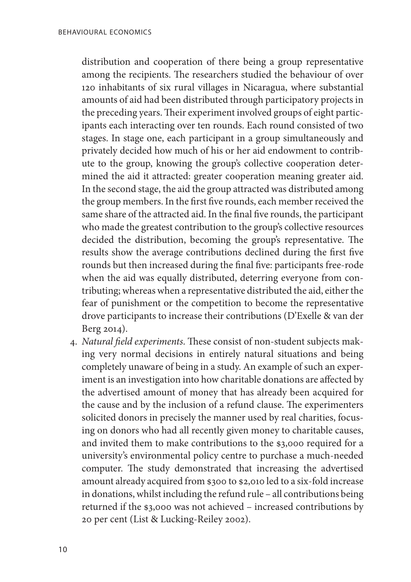distribution and cooperation of there being a group representative among the recipients. The researchers studied the behaviour of over 120 inhabitants of six rural villages in Nicaragua, where substantial amounts of aid had been distributed through participatory projects in the preceding years. Their experiment involved groups of eight participants each interacting over ten rounds. Each round consisted of two stages. In stage one, each participant in a group simultaneously and privately decided how much of his or her aid endowment to contribute to the group, knowing the group's collective cooperation determined the aid it attracted: greater cooperation meaning greater aid. In the second stage, the aid the group attracted was distributed among the group members. In the first five rounds, each member received the same share of the attracted aid. In the final five rounds, the participant who made the greatest contribution to the group's collective resources decided the distribution, becoming the group's representative. The results show the average contributions declined during the first five rounds but then increased during the final five: participants free-rode when the aid was equally distributed, deterring everyone from contributing; whereas when a representative distributed the aid, either the fear of punishment or the competition to become the representative drove participants to increase their contributions (D'Exelle & van der Berg 2014).

4. *Natural field experiments*. These consist of non-student subjects making very normal decisions in entirely natural situations and being completely unaware of being in a study. An example of such an experiment is an investigation into how charitable donations are affected by the advertised amount of money that has already been acquired for the cause and by the inclusion of a refund clause. The experimenters solicited donors in precisely the manner used by real charities, focusing on donors who had all recently given money to charitable causes, and invited them to make contributions to the \$3,000 required for a university's environmental policy centre to purchase a much-needed computer. The study demonstrated that increasing the advertised amount already acquired from \$300 to \$2,010 led to a six-fold increase in donations, whilst including the refund rule – all contributions being returned if the \$3,000 was not achieved – increased contributions by 20 per cent (List & Lucking-Reiley 2002).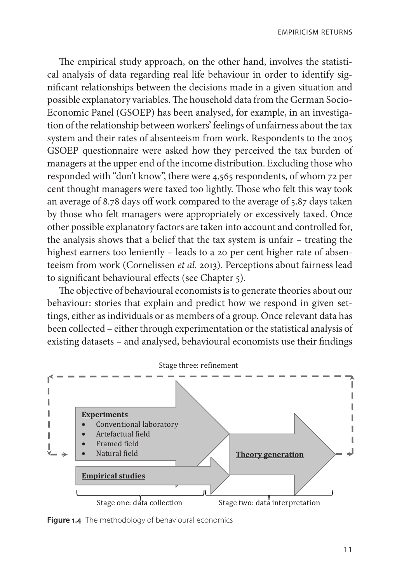The empirical study approach, on the other hand, involves the statistical analysis of data regarding real life behaviour in order to identify significant relationships between the decisions made in a given situation and possible explanatory variables. The household data from the German Socio-Economic Panel (GSOEP) has been analysed, for example, in an investigation of the relationship between workers' feelings of unfairness about the tax system and their rates of absenteeism from work. Respondents to the 2005 GSOEP questionnaire were asked how they perceived the tax burden of managers at the upper end of the income distribution. Excluding those who responded with "don't know", there were 4,565 respondents, of whom 72 per cent thought managers were taxed too lightly. Those who felt this way took an average of 8.78 days off work compared to the average of 5.87 days taken by those who felt managers were appropriately or excessively taxed. Once other possible explanatory factors are taken into account and controlled for, the analysis shows that a belief that the tax system is unfair – treating the highest earners too leniently – leads to a 20 per cent higher rate of absenteeism from work (Cornelissen *et al*. 2013). Perceptions about fairness lead to significant behavioural effects (see Chapter 5).

The objective of behavioural economists is to generate theories about our behaviour: stories that explain and predict how we respond in given settings, either as individuals or as members of a group. Once relevant data has been collected – either through experimentation or the statistical analysis of existing datasets - and analysed, behavioural economists use their findings



**Figure 1.4** The methodology of behavioural economics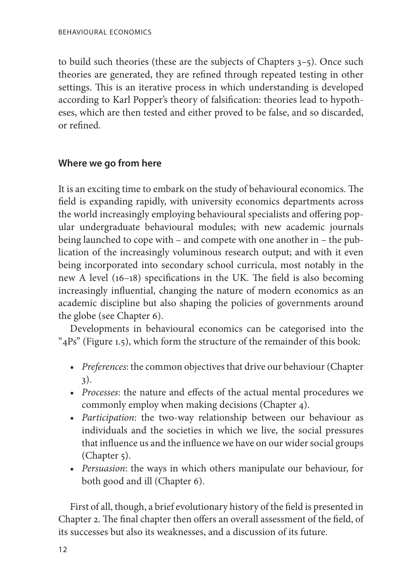to build such theories (these are the subjects of Chapters 3–5). Once such theories are generated, they are refined through repeated testing in other settings. This is an iterative process in which understanding is developed according to Karl Popper's theory of falsification: theories lead to hypotheses, which are then tested and either proved to be false, and so discarded, or refined.

## **Where we go from here**

It is an exciting time to embark on the study of behavioural economics. The field is expanding rapidly, with university economics departments across the world increasingly employing behavioural specialists and offering popular undergraduate behavioural modules; with new academic journals being launched to cope with – and compete with one another in – the publication of the increasingly voluminous research output; and with it even being incorporated into secondary school curricula, most notably in the new A level (16–18) specifications in the UK. The field is also becoming increasingly influential, changing the nature of modern economics as an academic discipline but also shaping the policies of governments around the globe (see Chapter 6).

Developments in behavioural economics can be categorised into the "4Ps" (Figure 1.5), which form the structure of the remainder of this book:

- *Preferences*: the common objectives that drive our behaviour (Chapter 3).
- • *Processes*: the nature and effects of the actual mental procedures we commonly employ when making decisions (Chapter 4).
- • *Participation*: the two-way relationship between our behaviour as individuals and the societies in which we live, the social pressures that influence us and the influence we have on our wider social groups (Chapter 5).
- • *Persuasion*: the ways in which others manipulate our behaviour, for both good and ill (Chapter 6).

First of all, though, a brief evolutionary history of the field is presented in Chapter 2. The final chapter then offers an overall assessment of the field, of its successes but also its weaknesses, and a discussion of its future.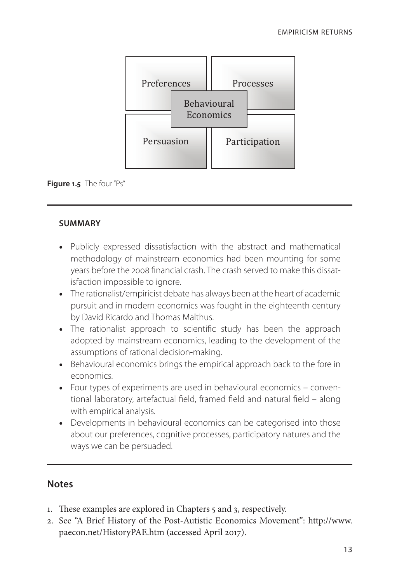



#### **Summary**

- Publicly expressed dissatisfaction with the abstract and mathematical methodology of mainstream economics had been mounting for some memodology of mainstream economics had been modified got some<br>years before the 2008 financial crash. The crash served to make this dissatisfaction impossible to ignore.
	- The rationalist/empiricist debate has always been at the heart of academic pursuit and in modern economics was fought in the eighteenth century by David Ricardo and Thomas Malthus.
	- The rationalist approach to scientific study has been the approach adopted by mainstream economics, leading to the development of the adopted by mainstream economics, leading to the development or the<br>assumptions of rational decision-making.
		- Behavioural economics brings the empirical approach back to the fore in economics.
		- Four types of experiments are used in behavioural economics conventional laboratory, artefactual field, framed field and natural field – along with empirical analysis.
		- Developments in behavioural economics can be categorised into those about our preferences, cognitive processes, participatory natures and the ways we can be persuaded.

# **Notes**

- 1. These examples are explored in Chapters 5 and 3, respectively.
- 2. See "A Brief History of the Post-Autistic Economics Movement": http://www. paecon.net/HistoryPAE.htm (accessed April 2017).